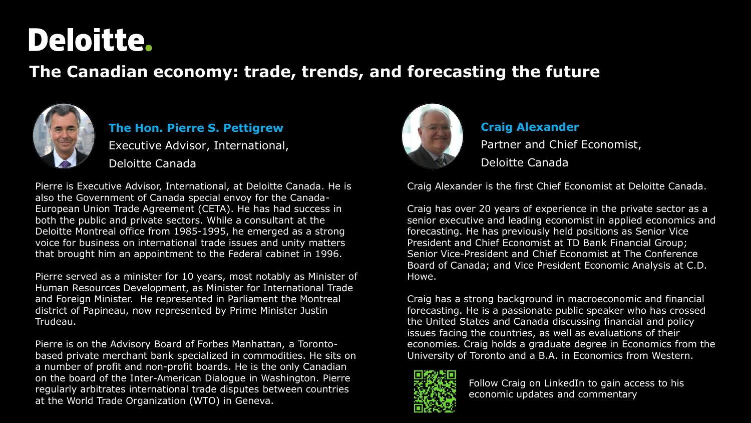# Deloitte.

## **The Canadian economy: trade, trends, and forecasting the future**



#### **The Hon. Pierre S. Pettigrew** Executive Advisor, International, Deloitte Canada

Pierre is Executive Advisor, International, at Deloitte Canada. He is also the Government of Canada special envoy for the Canada-European Union Trade Agreement (CETA). He has had success in both the public and private sectors. While a consultant at the Deloitte Montreal office from 1985-1995, he emerged as a strong voice for business on international trade issues and unity matters that brought him an appointment to the Federal cabinet in 1996.

Pierre served as a minister for 10 years, most notably as Minister of Human Resources Development, as Minister for International Trade and Foreign Minister. He represented in Parliament the Montreal district of Papineau, now represented by Prime Minister Justin Trudeau.

Pierre is on the Advisory Board of Forbes Manhattan, a Torontobased private merchant bank specialized in commodities. He sits on a number of profit and non-profit boards. He is the only Canadian on the board of the Inter-American Dialogue in Washington. Pierre regularly arbitrates international trade disputes between countries at the World Trade Organization (WTO) in Geneva.



# **Craig Alexander**

Partner and Chief Economist, Deloitte Canada

Craig Alexander is the first Chief Economist at Deloitte Canada.

Craig has over 20 years of experience in the private sector as a senior executive and leading economist in applied economics and forecasting. He has previously held positions as Senior Vice President and Chief Economist at TD Bank Financial Group; Senior Vice-President and Chief Economist at The Conference Board of Canada; and Vice President Economic Analysis at C.D. Howe.

Craig has a strong background in macroeconomic and financial forecasting. He is a passionate public speaker who has crossed the United States and Canada discussing financial and policy issues facing the countries, as well as evaluations of their economies. Craig holds a graduate degree in Economics from the University of Toronto and a B.A. in Economics from Western.



Follow Craig on LinkedIn to gain access to his economic updates and commentary